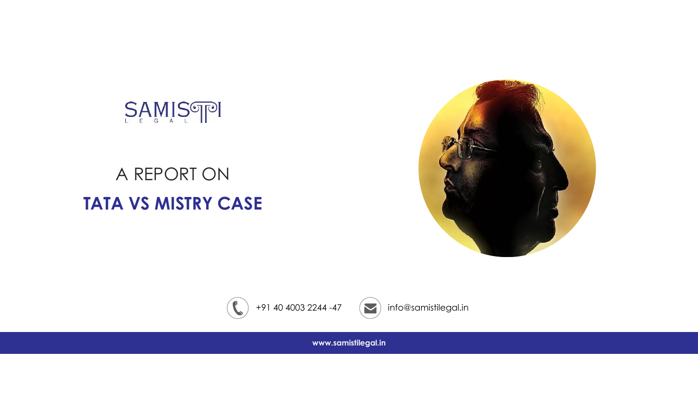

# A REPORT ON **TATA VS MISTRY CASE**





**www.samistilegal.in**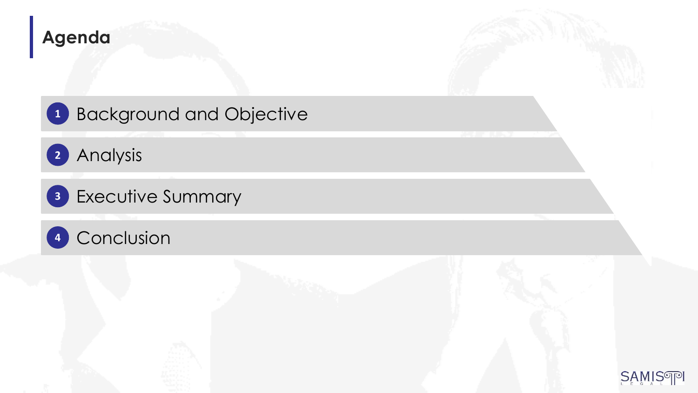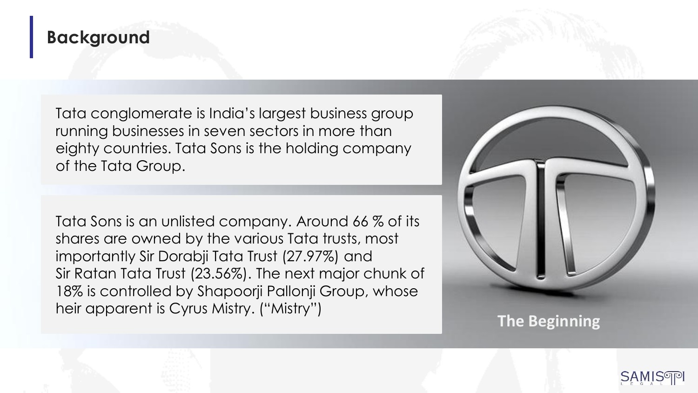#### **Background**

Tata conglomerate is India's largest business group running businesses in seven sectors in more than eighty countries. Tata Sons is the holding company of the Tata Group.

Tata Sons is an unlisted company. Around 66 % of its shares are owned by the various Tata trusts, most importantly Sir Dorabji Tata Trust (27.97%) and Sir Ratan Tata Trust (23.56%). The next major chunk of 18% is controlled by Shapoorji Pallonji Group, whose heir apparent is Cyrus Mistry. ("Mistry")

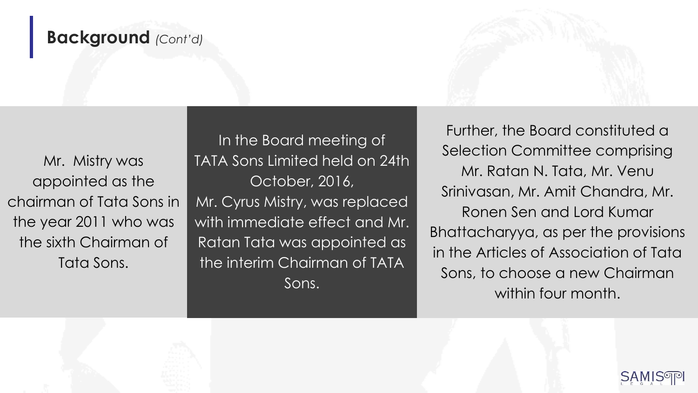#### **Background** *(Cont'd)*

Mr. Mistry was appointed as the chairman of Tata Sons in the year 2011 who was the sixth Chairman of Tata Sons.

In the Board meeting of TATA Sons Limited held on 24th October, 2016, Mr. Cyrus Mistry, was replaced with immediate effect and Mr. Ratan Tata was appointed as the interim Chairman of TATA Sons.

Further, the Board constituted a Selection Committee comprising Mr. Ratan N. Tata, Mr. Venu Srinivasan, Mr. Amit Chandra, Mr. Ronen Sen and Lord Kumar Bhattacharyya, as per the provisions in the Articles of Association of Tata Sons, to choose a new Chairman within four month.

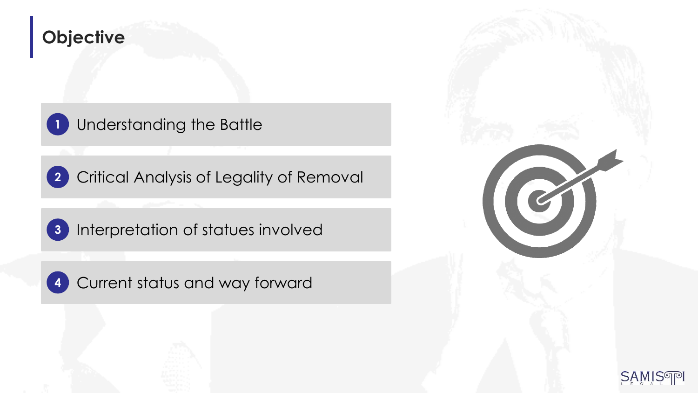#### **Objective**

Understanding the Battle **1**

Critical Analysis of Legality of Removal **2**

Interpretation of statues involved **3**

Current status and way forward **4**



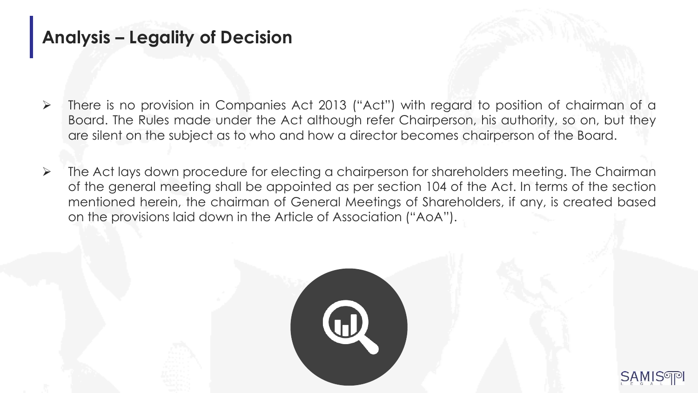# **Analysis – Legality of Decision**

- ➢ There is no provision in Companies Act 2013 ("Act") with regard to position of chairman of a Board. The Rules made under the Act although refer Chairperson, his authority, so on, but they are silent on the subject as to who and how a director becomes chairperson of the Board.
- ➢ The Act lays down procedure for electing a chairperson for shareholders meeting. The Chairman of the general meeting shall be appointed as per section 104 of the Act. In terms of the section mentioned herein, the chairman of General Meetings of Shareholders, if any, is created based on the provisions laid down in the Article of Association ("AoA").



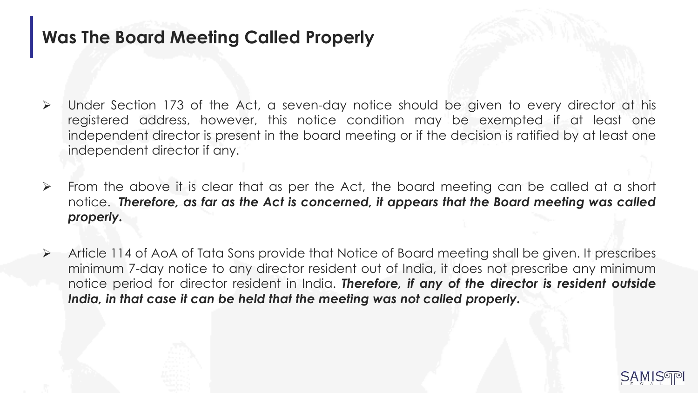#### **Was The Board Meeting Called Properly**

- ➢ Under Section 173 of the Act, a seven-day notice should be given to every director at his registered address, however, this notice condition may be exempted if at least one independent director is present in the board meeting or if the decision is ratified by at least one independent director if any.
- ➢ From the above it is clear that as per the Act, the board meeting can be called at a short notice. *Therefore, as far as the Act is concerned, it appears that the Board meeting was called properly.*
- ➢ Article 114 of AoA of Tata Sons provide that Notice of Board meeting shall be given. It prescribes minimum 7-day notice to any director resident out of India, it does not prescribe any minimum notice period for director resident in India. *Therefore, if any of the director is resident outside India, in that case it can be held that the meeting was not called properly.*

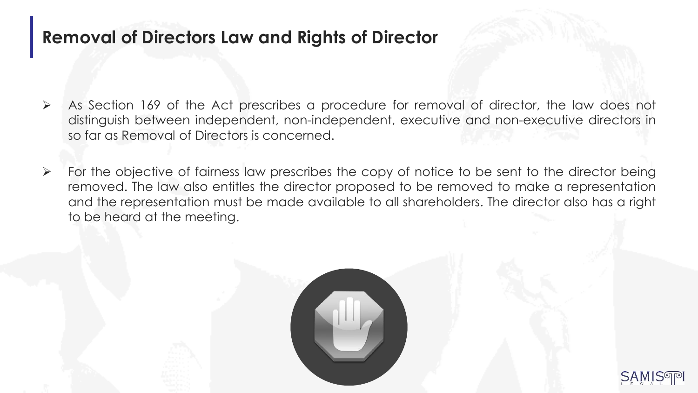#### **Removal of Directors Law and Rights of Director**

- ➢ As Section 169 of the Act prescribes a procedure for removal of director, the law does not distinguish between independent, non-independent, executive and non-executive directors in so far as Removal of Directors is concerned.
- ➢ For the objective of fairness law prescribes the copy of notice to be sent to the director being removed. The law also entitles the director proposed to be removed to make a representation and the representation must be made available to all shareholders. The director also has a right to be heard at the meeting.



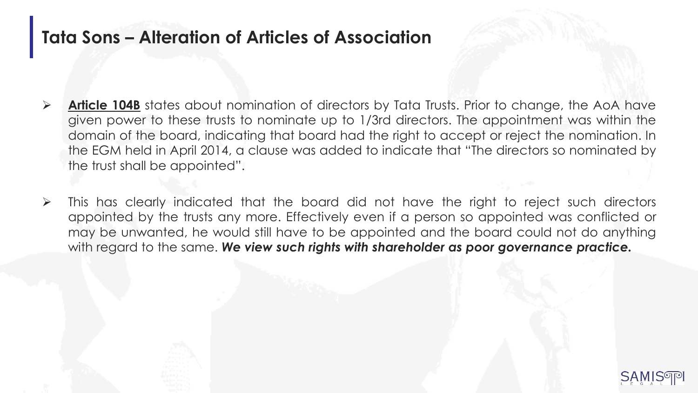#### **Tata Sons – Alteration of Articles of Association**

- ➢ **Article 104B** states about nomination of directors by Tata Trusts. Prior to change, the AoA have given power to these trusts to nominate up to 1/3rd directors. The appointment was within the domain of the board, indicating that board had the right to accept or reject the nomination. In the EGM held in April 2014, a clause was added to indicate that "The directors so nominated by the trust shall be appointed".
- ➢ This has clearly indicated that the board did not have the right to reject such directors appointed by the trusts any more. Effectively even if a person so appointed was conflicted or may be unwanted, he would still have to be appointed and the board could not do anything with regard to the same. *We view such rights with shareholder as poor governance practice.*

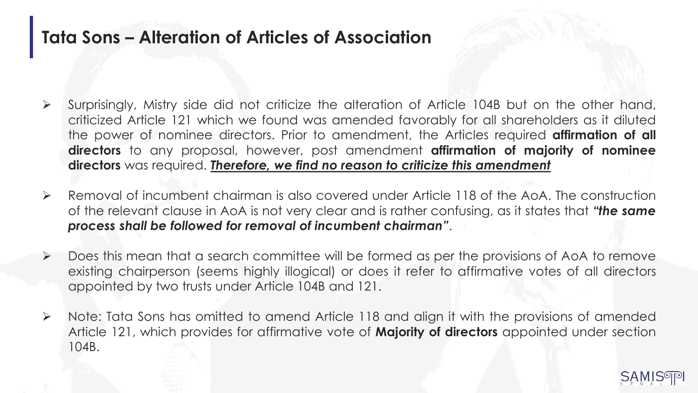#### **Tata Sons – Alteration of Articles of Association**

- ➢ Surprisingly, Mistry side did not criticize the alteration of Article 104B but on the other hand, criticized Article 121 which we found was amended favorably for all shareholders as it diluted the power of nominee directors. Prior to amendment, the Articles required **affirmation of all directors** to any proposal, however, post amendment **affirmation of majority of nominee directors** was required. *Therefore, we find no reason to criticize this amendment*
- ➢ Removal of incumbent chairman is also covered under Article 118 of the AoA. The construction of the relevant clause in AoA is not very clear and is rather confusing, as it states that *"the same process shall be followed for removal of incumbent chairman"*.
- ➢ Does this mean that a search committee will be formed as per the provisions of AoA to remove existing chairperson (seems highly illogical) or does it refer to affirmative votes of all directors appointed by two trusts under Article 104B and 121.
- ➢ Note: Tata Sons has omitted to amend Article 118 and align it with the provisions of amended Article 121, which provides for affirmative vote of **Majority of directors** appointed under section 104B.

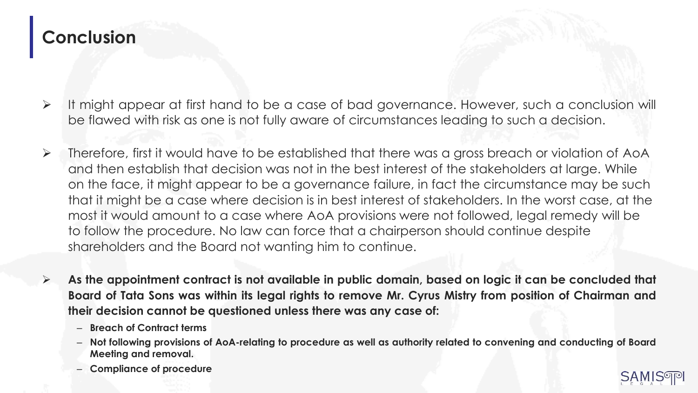## **Conclusion**

- ➢ It might appear at first hand to be a case of bad governance. However, such a conclusion will be flawed with risk as one is not fully aware of circumstances leading to such a decision.
- ➢ Therefore, first it would have to be established that there was a gross breach or violation of AoA and then establish that decision was not in the best interest of the stakeholders at large. While on the face, it might appear to be a governance failure, in fact the circumstance may be such that it might be a case where decision is in best interest of stakeholders. In the worst case, at the most it would amount to a case where AoA provisions were not followed, legal remedy will be to follow the procedure. No law can force that a chairperson should continue despite shareholders and the Board not wanting him to continue.
- $\triangleright$  As the appointment contract is not available in public domain, based on logic it can be concluded that Board of Tata Sons was within its legal rights to remove Mr. Cyrus Mistry from position of Chairman and **their decision cannot be questioned unless there was any case of:**
	- **Breach of Contract terms**
	- Not following provisions of AoA-relating to procedure as well as authority related to convening and conducting of Board **Meeting and removal.**
	- **Compliance of procedure**

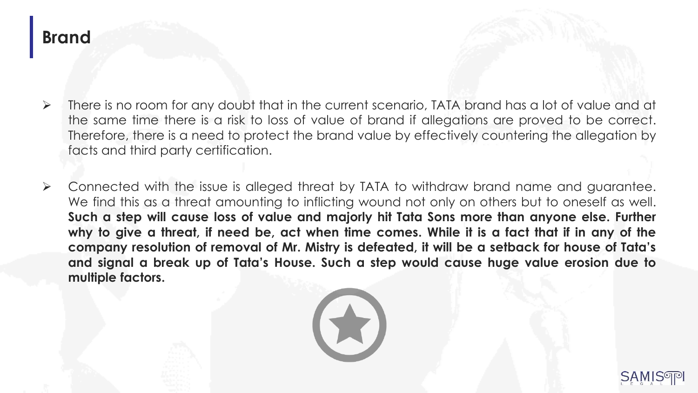#### **Brand**

- ➢ There is no room for any doubt that in the current scenario, TATA brand has a lot of value and at the same time there is a risk to loss of value of brand if allegations are proved to be correct. Therefore, there is a need to protect the brand value by effectively countering the allegation by facts and third party certification.
- ➢ Connected with the issue is alleged threat by TATA to withdraw brand name and guarantee. We find this as a threat amounting to inflicting wound not only on others but to oneself as well. **Such a step will cause loss of value and majorly hit Tata Sons more than anyone else. Further** why to give a threat, if need be, act when time comes. While it is a fact that if in any of the **company resolution of removal of Mr. Mistry is defeated, it will be a setback for house of Tata's and signal a break up of Tata's House. Such a step would cause huge value erosion due to multiple factors.**



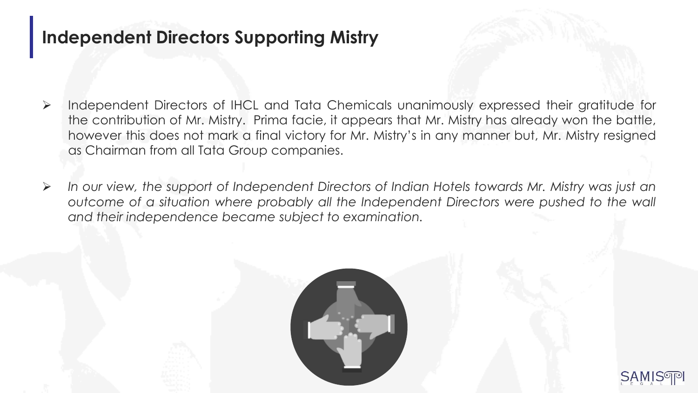#### **Independent Directors Supporting Mistry**

- ➢ Independent Directors of IHCL and Tata Chemicals unanimously expressed their gratitude for the contribution of Mr. Mistry. Prima facie, it appears that Mr. Mistry has already won the battle, however this does not mark a final victory for Mr. Mistry's in any manner but, Mr. Mistry resigned as Chairman from all Tata Group companies.
- ➢ *In our view, the support of Independent Directors of Indian Hotels towards Mr. Mistry was just an outcome of a situation where probably all the Independent Directors were pushed to the wall and their independence became subject to examination.*



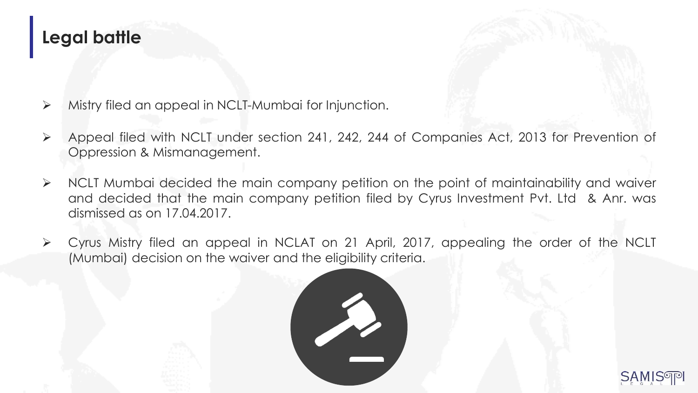#### **Legal battle**



- ➢ Mistry filed an appeal in NCLT-Mumbai for Injunction.
- ➢ Appeal filed with NCLT under section 241, 242, 244 of Companies Act, 2013 for Prevention of Oppression & Mismanagement.
- ➢ NCLT Mumbai decided the main company petition on the point of maintainability and waiver and decided that the main company petition filed by Cyrus Investment Pvt. Ltd & Anr. was dismissed as on 17.04.2017.
- ➢ Cyrus Mistry filed an appeal in NCLAT on 21 April, 2017, appealing the order of the NCLT (Mumbai) decision on the waiver and the eligibility criteria.



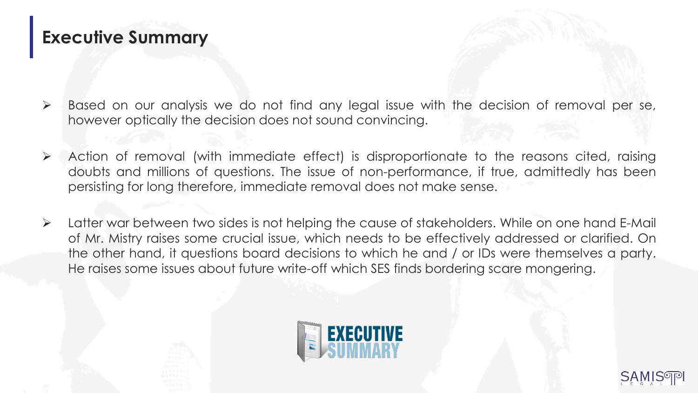### **Executive Summary**

- ➢ Based on our analysis we do not find any legal issue with the decision of removal per se, however optically the decision does not sound convincing.
- ➢ Action of removal (with immediate effect) is disproportionate to the reasons cited, raising doubts and millions of questions. The issue of non-performance, if true, admittedly has been persisting for long therefore, immediate removal does not make sense.
- ➢ Latter war between two sides is not helping the cause of stakeholders. While on one hand E-Mail of Mr. Mistry raises some crucial issue, which needs to be effectively addressed or clarified. On the other hand, it questions board decisions to which he and / or IDs were themselves a party. He raises some issues about future write-off which SES finds bordering scare mongering.



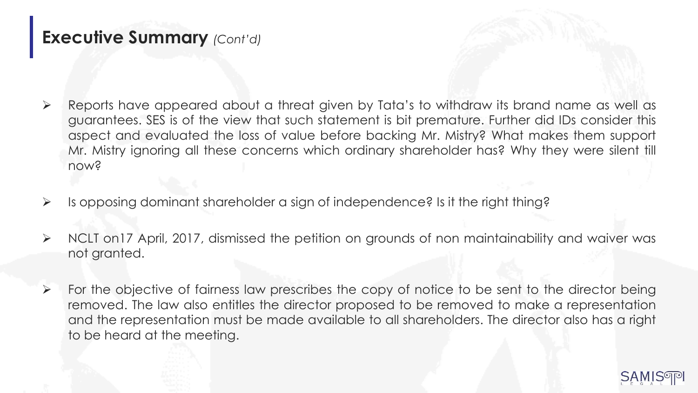#### **Executive Summary** *(Cont'd)*

- ➢ Reports have appeared about a threat given by Tata's to withdraw its brand name as well as guarantees. SES is of the view that such statement is bit premature. Further did IDs consider this aspect and evaluated the loss of value before backing Mr. Mistry? What makes them support Mr. Mistry ignoring all these concerns which ordinary shareholder has? Why they were silent till now?
- ➢ Is opposing dominant shareholder a sign of independence? Is it the right thing?
- ➢ NCLT on17 April, 2017, dismissed the petition on grounds of non maintainability and waiver was not granted.
- $\triangleright$  For the objective of fairness law prescribes the copy of notice to be sent to the director being removed. The law also entitles the director proposed to be removed to make a representation and the representation must be made available to all shareholders. The director also has a right to be heard at the meeting.

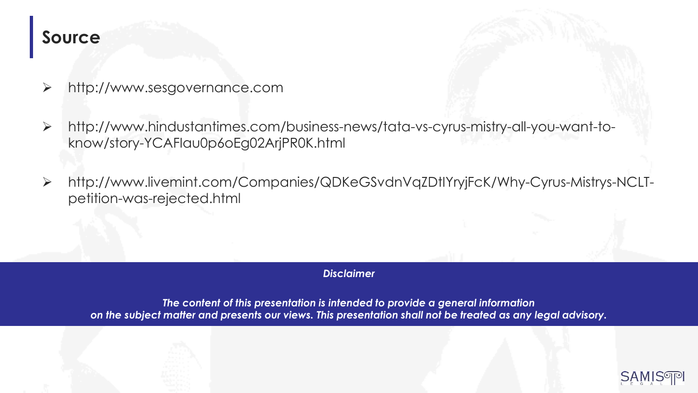#### **Source**

- ➢ http://www.sesgovernance.com
- ➢ http://www.hindustantimes.com/business-news/tata-vs-cyrus-mistry-all-you-want-toknow/story-YCAFIau0p6oEg02ArjPR0K.html
- ➢ http://www.livemint.com/Companies/QDKeGSvdnVqZDtIYryjFcK/Why-Cyrus-Mistrys-NCLTpetition-was-rejected.html

#### *Disclaimer*

*The content of this presentation is intended to provide a general information on the subject matter and presents our views. This presentation shall not be treated as any legal advisory.*